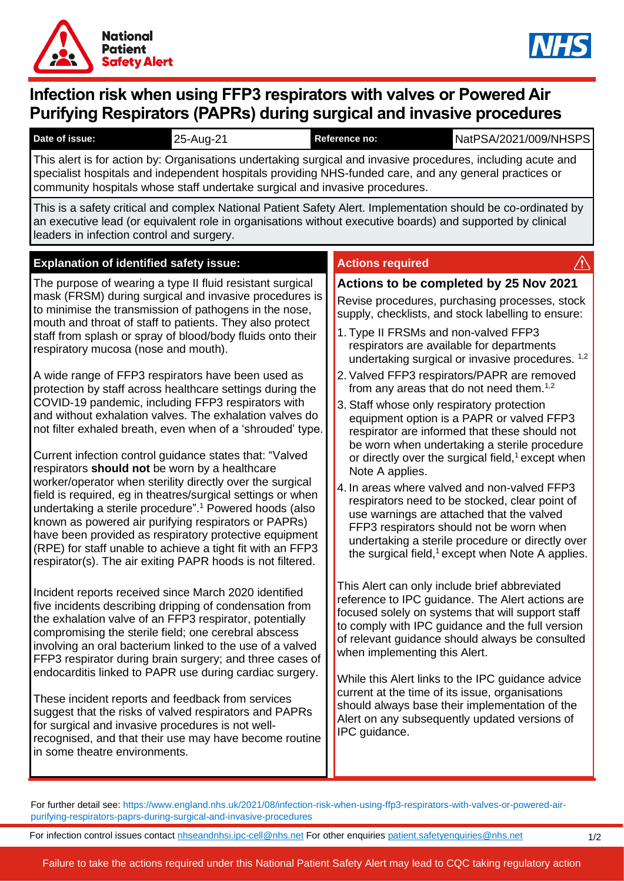



# **Infection risk when using FFP3 respirators with valves or Powered Air Purifying Respirators (PAPRs) during surgical and invasive procedures**

| Date of issue: | $25 - Aug-2$ | <b>Reference no:</b> | NatPSA/2021/009/NHSPS |
|----------------|--------------|----------------------|-----------------------|
|                |              |                      |                       |

This alert is for action by: Organisations undertaking surgical and invasive procedures, including acute and specialist hospitals and independent hospitals providing NHS-funded care, and any general practices or community hospitals whose staff undertake surgical and invasive procedures.

This is a safety critical and complex National Patient Safety Alert. Implementation should be co-ordinated by an executive lead (or equivalent role in organisations without executive boards) and supported by clinical leaders in infection control and surgery.

# **Explanation of identified safety issue: Actions required**

The purpose of wearing a type II fluid resistant surgical mask (FRSM) during surgical and invasive procedures is to minimise the transmission of pathogens in the nose, mouth and throat of staff to patients. They also protect staff from splash or spray of blood/body fluids onto their respiratory mucosa (nose and mouth).

A wide range of FFP3 respirators have been used as protection by staff across healthcare settings during the COVID-19 pandemic, including FFP3 respirators with and without exhalation valves. The exhalation valves do not filter exhaled breath, even when of a 'shrouded' type.

Current infection control guidance states that: "Valved respirators **should not** be worn by a healthcare worker/operator when sterility directly over the surgical field is required, eg in theatres/surgical settings or when undertaking a sterile procedure". <sup>1</sup> Powered hoods (also known as powered air purifying respirators or PAPRs) have been provided as respiratory protective equipment (RPE) for staff unable to achieve a tight fit with an FFP3 respirator(s). The air exiting PAPR hoods is not filtered.

Incident reports received since March 2020 identified five incidents describing dripping of condensation from the exhalation valve of an FFP3 respirator, potentially compromising the sterile field; one cerebral abscess involving an oral bacterium linked to the use of a valved FFP3 respirator during brain surgery; and three cases of endocarditis linked to PAPR use during cardiac surgery.

These incident reports and feedback from services suggest that the risks of valved respirators and PAPRs for surgical and invasive procedures is not wellrecognised, and that their use may have become routine in some theatre environments.

# **Actions to be completed by 25 Nov 2021**

Revise procedures, purchasing processes, stock supply, checklists, and stock labelling to ensure:

- 1. Type II FRSMs and non-valved FFP3 respirators are available for departments undertaking surgical or invasive procedures. <sup>1,2</sup>
- 2. Valved FFP3 respirators/PAPR are removed from any areas that do not need them. $1,2$
- 3. Staff whose only respiratory protection equipment option is a PAPR or valved FFP3 respirator are informed that these should not be worn when undertaking a sterile procedure or directly over the surgical field, <sup>1</sup>except when Note A applies.
- 4. In areas where valved and non-valved FFP3 respirators need to be stocked, clear point of use warnings are attached that the valved FFP3 respirators should not be worn when undertaking a sterile procedure or directly over the surgical field,<sup>1</sup> except when Note A applies.

This Alert can only include brief abbreviated reference to IPC guidance. The Alert actions are focused solely on systems that will support staff to comply with IPC guidance and the full version of relevant guidance should always be consulted when implementing this Alert.

While this Alert links to the IPC guidance advice current at the time of its issue, organisations should always base their implementation of the Alert on any subsequently updated versions of IPC guidance.

For further detail see: https://www.england.nhs.uk/2021/08/infection-risk-when-using-ffp3-respirators-with-valves-or-powered-airpurifying-respirators-paprs-during-surgical-and-invasive-procedures

For infection control issues contact [nhseandnhsi.ipc-cell@nhs.net](mailto:nhseandnhsi.ipc-cell@nhs.net) For other enquiries [patient.safetyenquiries@nhs.net](mailto:patient.safetyenquiries@nhs.net)